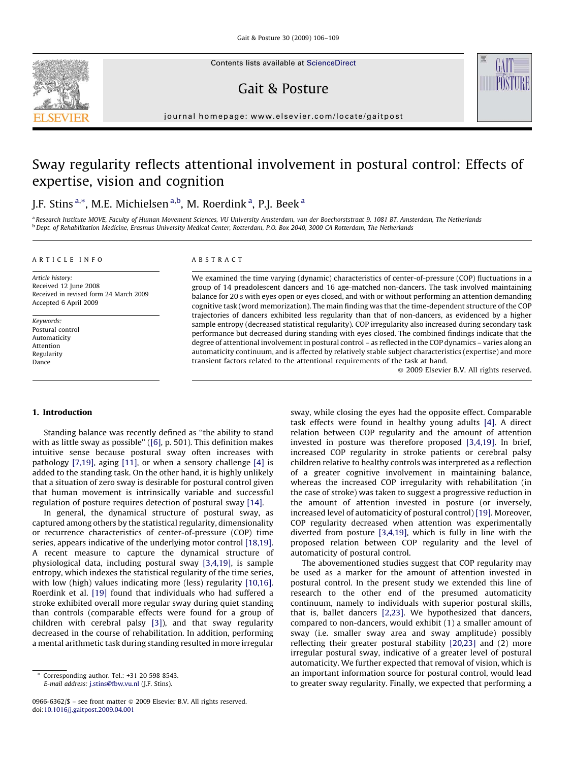Contents lists available at [ScienceDirect](http://www.sciencedirect.com/science/journal/09666362)



# Gait & Posture

journal homepage: www.elsevier.com/locate/gaitpost

# Sway regularity reflects attentional involvement in postural control: Effects of expertise, vision and cognition

# J.F. Stins <sup>a,\*</sup>, M.E. Michielsen <sup>a,b</sup>, M. Roerdink <sup>a</sup>, P.J. Beek <sup>a</sup>

a Research Institute MOVE, Faculty of Human Movement Sciences, VU University Amsterdam, van der Boechorststraat 9, 1081 BT, Amsterdam, The Netherlands <sup>b</sup> Dept. of Rehabilitation Medicine, Erasmus University Medical Center, Rotterdam, P.O. Box 2040, 3000 CA Rotterdam, The Netherlands

### ARTICLE INFO

Article history: Received 12 June 2008 Received in revised form 24 March 2009 Accepted 6 April 2009

Keywords: Postural control Automaticity Attention Regularity Dance

### ABSTRACT

We examined the time varying (dynamic) characteristics of center-of-pressure (COP) fluctuations in a group of 14 preadolescent dancers and 16 age-matched non-dancers. The task involved maintaining balance for 20 s with eyes open or eyes closed, and with or without performing an attention demanding cognitive task (word memorization). The main finding was that the time-dependent structure of the COP trajectories of dancers exhibited less regularity than that of non-dancers, as evidenced by a higher sample entropy (decreased statistical regularity). COP irregularity also increased during secondary task performance but decreased during standing with eyes closed. The combined findings indicate that the degree of attentional involvement in postural control – as reflected in the COP dynamics – varies along an automaticity continuum, and is affected by relatively stable subject characteristics (expertise) and more transient factors related to the attentional requirements of the task at hand.

 $\odot$  2009 Elsevier B.V. All rights reserved.

# 1. Introduction

Standing balance was recently defined as ''the ability to stand with as little sway as possible'' ([\[6\],](#page-3-0) p. 501). This definition makes intuitive sense because postural sway often increases with pathology [\[7,19\],](#page-3-0) aging [\[11\],](#page-3-0) or when a sensory challenge [\[4\]](#page-3-0) is added to the standing task. On the other hand, it is highly unlikely that a situation of zero sway is desirable for postural control given that human movement is intrinsically variable and successful regulation of posture requires detection of postural sway [\[14\]](#page-3-0).

In general, the dynamical structure of postural sway, as captured among others by the statistical regularity, dimensionality or recurrence characteristics of center-of-pressure (COP) time series, appears indicative of the underlying motor control [\[18,19\].](#page-3-0) A recent measure to capture the dynamical structure of physiological data, including postural sway [\[3,4,19\],](#page-3-0) is sample entropy, which indexes the statistical regularity of the time series, with low (high) values indicating more (less) regularity [\[10,16\].](#page-3-0) Roerdink et al. [\[19\]](#page-3-0) found that individuals who had suffered a stroke exhibited overall more regular sway during quiet standing than controls (comparable effects were found for a group of children with cerebral palsy [\[3\]\)](#page-3-0), and that sway regularity decreased in the course of rehabilitation. In addition, performing a mental arithmetic task during standing resulted in more irregular

sway, while closing the eyes had the opposite effect. Comparable task effects were found in healthy young adults [\[4\]](#page-3-0). A direct relation between COP regularity and the amount of attention invested in posture was therefore proposed [\[3,4,19\]](#page-3-0). In brief, increased COP regularity in stroke patients or cerebral palsy children relative to healthy controls was interpreted as a reflection of a greater cognitive involvement in maintaining balance, whereas the increased COP irregularity with rehabilitation (in the case of stroke) was taken to suggest a progressive reduction in the amount of attention invested in posture (or inversely, increased level of automaticity of postural control) [\[19\]](#page-3-0). Moreover, COP regularity decreased when attention was experimentally diverted from posture [\[3,4,19\],](#page-3-0) which is fully in line with the proposed relation between COP regularity and the level of automaticity of postural control.

The abovementioned studies suggest that COP regularity may be used as a marker for the amount of attention invested in postural control. In the present study we extended this line of research to the other end of the presumed automaticity continuum, namely to individuals with superior postural skills, that is, ballet dancers [\[2,23\]](#page-3-0). We hypothesized that dancers, compared to non-dancers, would exhibit (1) a smaller amount of sway (i.e. smaller sway area and sway amplitude) possibly reflecting their greater postural stability [\[20,23\]](#page-3-0) and (2) more irregular postural sway, indicative of a greater level of postural automaticity. We further expected that removal of vision, which is an important information source for postural control, would lead to greater sway regularity. Finally, we expected that performing a

Corresponding author. Tel.: +31 20 598 8543. E-mail address: [j.stins@fbw.vu.nl](mailto:j.stins@fbw.vu.nl) (J.F. Stins).

<sup>0966-6362/\$ –</sup> see front matter © 2009 Elsevier B.V. All rights reserved. doi:[10.1016/j.gaitpost.2009.04.001](http://dx.doi.org/10.1016/j.gaitpost.2009.04.001)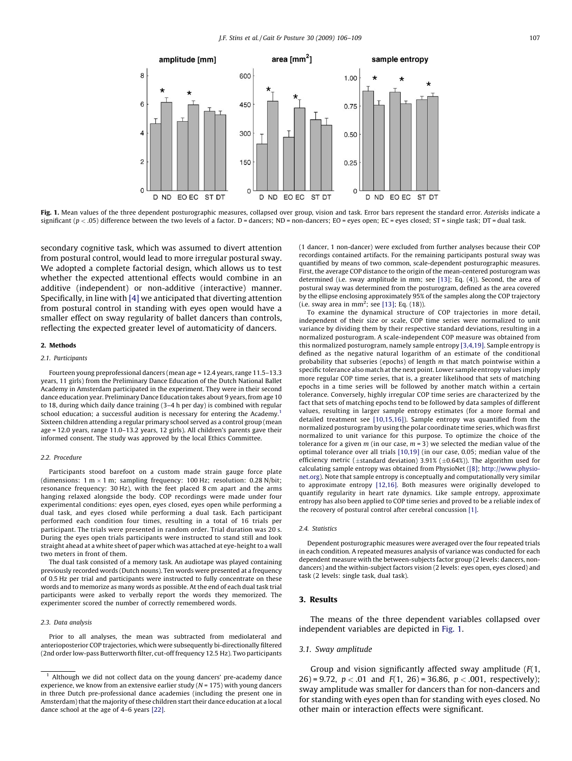

Fig. 1. Mean values of the three dependent posturographic measures, collapsed over group, vision and task. Error bars represent the standard error. Asterisks indicate a significant ( $p < .05$ ) difference between the two levels of a factor. D = dancers; ND = non-dancers; EO = eyes open; EC = eyes closed; ST = single task; DT = dual task.

secondary cognitive task, which was assumed to divert attention from postural control, would lead to more irregular postural sway. We adopted a complete factorial design, which allows us to test whether the expected attentional effects would combine in an additive (independent) or non-additive (interactive) manner. Specifically, in line with [\[4\]](#page-3-0) we anticipated that diverting attention from postural control in standing with eyes open would have a smaller effect on sway regularity of ballet dancers than controls, reflecting the expected greater level of automaticity of dancers.

# 2. Methods

# 2.1. Participants

Fourteen young preprofessional dancers (mean age = 12.4 years, range 11.5–13.3 years, 11 girls) from the Preliminary Dance Education of the Dutch National Ballet Academy in Amsterdam participated in the experiment. They were in their second dance education year. Preliminary Dance Education takes about 9 years, from age 10 to 18, during which daily dance training (3–4 h per day) is combined with regular school education; a successful audition is necessary for entering the Academy.<sup>1</sup> Sixteen children attending a regular primary school served as a control group (mean age = 12.0 years, range 11.0–13.2 years, 12 girls). All children's parents gave their informed consent. The study was approved by the local Ethics Committee.

#### 2.2. Procedure

Participants stood barefoot on a custom made strain gauge force plate (dimensions: 1 m  $\times$  1 m; sampling frequency: 100 Hz; resolution: 0.28 N/bit; resonance frequency: 30 Hz), with the feet placed 8 cm apart and the arms hanging relaxed alongside the body. COP recordings were made under four experimental conditions: eyes open, eyes closed, eyes open while performing a dual task, and eyes closed while performing a dual task. Each participant performed each condition four times, resulting in a total of 16 trials per participant. The trials were presented in random order. Trial duration was 20 s. During the eyes open trials participants were instructed to stand still and look straight ahead at a white sheet of paper which was attached at eye-height to a wall two meters in front of them.

The dual task consisted of a memory task. An audiotape was played containing previously recorded words (Dutch nouns). Ten words were presented at a frequency of 0.5 Hz per trial and participants were instructed to fully concentrate on these words and to memorize as many words as possible. At the end of each dual task trial participants were asked to verbally report the words they memorized. The experimenter scored the number of correctly remembered words.

#### 2.3. Data analysis

Prior to all analyses, the mean was subtracted from mediolateral and anterioposterior COP trajectories, which were subsequently bi-directionally filtered (2nd order low-pass Butterworth filter, cut-off frequency 12.5 Hz). Two participants (1 dancer, 1 non-dancer) were excluded from further analyses because their COP recordings contained artifacts. For the remaining participants postural sway was quantified by means of two common, scale-dependent posturographic measures. First, the average COP distance to the origin of the mean-centered posturogram was determined (i.e. sway amplitude in mm; see [\[13\];](#page-3-0) Eq. (4)). Second, the area of postural sway was determined from the posturogram, defined as the area covered by the ellipse enclosing approximately 95% of the samples along the COP trajectory (i.e. sway area in  $mm^2$ ; see [\[13\];](#page-3-0) Eq. (18)).

To examine the dynamical structure of COP trajectories in more detail, independent of their size or scale, COP time series were normalized to unit variance by dividing them by their respective standard deviations, resulting in a normalized posturogram. A scale-independent COP measure was obtained from this normalized posturogram, namely sample entropy [\[3,4,19\]](#page-3-0). Sample entropy is defined as the negative natural logarithm of an estimate of the conditional probability that subseries (epochs) of length m that match pointwise within a specific tolerance also match at the next point. Lower sample entropy values imply more regular COP time series, that is, a greater likelihood that sets of matching epochs in a time series will be followed by another match within a certain tolerance. Conversely, highly irregular COP time series are characterized by the fact that sets of matching epochs tend to be followed by data samples of different values, resulting in larger sample entropy estimates (for a more formal and detailed treatment see [\[10,15,16\]\)](#page-3-0). Sample entropy was quantified from the normalized posturogram by using the polar coordinate time series, which was first normalized to unit variance for this purpose. To optimize the choice of the tolerance for a given  $m$  (in our case,  $m = 3$ ) we selected the median value of the optimal tolerance over all trials [\[10,19\]](#page-3-0) (in our case, 0.05; median value of the efficiency metric ( $\pm$ standard deviation) 3.91% ( $\pm$ 0.64%)). The algorithm used for calculating sample entropy was obtained from PhysioNet ([\[8\];](#page-3-0) [http://www.physio](http://www.physionet.org/)[net.org\)](http://www.physionet.org/). Note that sample entropy is conceptually and computationally very similar to approximate entropy [\[12,16\]](#page-3-0). Both measures were originally developed to quantify regularity in heart rate dynamics. Like sample entropy, approximate entropy has also been applied to COP time series and proved to be a reliable index of the recovery of postural control after cerebral concussion [\[1\].](#page-3-0)

#### 2.4 Statistics

Dependent posturographic measures were averaged over the four repeated trials in each condition. A repeated measures analysis of variance was conducted for each dependent measure with the between-subjects factor group (2 levels: dancers, nondancers) and the within-subject factors vision (2 levels: eyes open, eyes closed) and task (2 levels: single task, dual task).

# 3. Results

The means of the three dependent variables collapsed over independent variables are depicted in Fig. 1.

# 3.1. Sway amplitude

Group and vision significantly affected sway amplitude  $(F(1,$ 26) = 9.72,  $p < .01$  and  $F(1, 26)$  = 36.86,  $p < .001$ , respectively); sway amplitude was smaller for dancers than for non-dancers and for standing with eyes open than for standing with eyes closed. No other main or interaction effects were significant.

 $1$  Although we did not collect data on the young dancers' pre-academy dance experience, we know from an extensive earlier study ( $N = 175$ ) with young dancers in three Dutch pre-professional dance academies (including the present one in Amsterdam) that the majority of these children start their dance education at a local dance school at the age of 4–6 years [\[22\].](#page-3-0)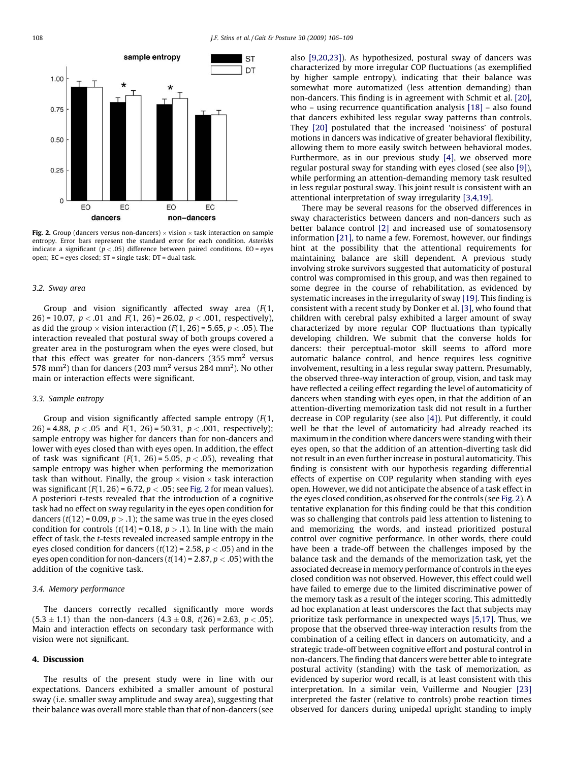

**Fig. 2.** Group (dancers versus non-dancers)  $\times$  vision  $\times$  task interaction on sample entropy. Error bars represent the standard error for each condition. Asterisks indicate a significant ( $p < .05$ ) difference between paired conditions. EO = eyes open; EC = eyes closed; ST = single task; DT = dual task.

### 3.2. Sway area

Group and vision significantly affected sway area  $(F(1,$ 26) = 10.07,  $p < .01$  and  $F(1, 26)$  = 26.02,  $p < .001$ , respectively), as did the group  $\times$  vision interaction (F(1, 26) = 5.65,  $p$   $<$  .05). The interaction revealed that postural sway of both groups covered a greater area in the posturogram when the eyes were closed, but that this effect was greater for non-dancers  $(355 \text{ mm}^2 \text{ versus}$ 578 mm<sup>2</sup>) than for dancers (203 mm<sup>2</sup> versus 284 mm<sup>2</sup>). No other main or interaction effects were significant.

# 3.3. Sample entropy

Group and vision significantly affected sample entropy (F(1, 26) = 4.88,  $p < .05$  and  $F(1, 26) = 50.31$ ,  $p < .001$ , respectively); sample entropy was higher for dancers than for non-dancers and lower with eyes closed than with eyes open. In addition, the effect of task was significant  $(F(1, 26) = 5.05, p < .05)$ , revealing that sample entropy was higher when performing the memorization task than without. Finally, the group  $\times$  vision  $\times$  task interaction was significant ( $F(1, 26) = 6.72$ ,  $p < .05$ ; see Fig. 2 for mean values). A posteriori t-tests revealed that the introduction of a cognitive task had no effect on sway regularity in the eyes open condition for dancers ( $t(12)$  = 0.09,  $p > 0.1$ ); the same was true in the eyes closed condition for controls  $(t(14) = 0.18, p > .1)$ . In line with the main effect of task, the t-tests revealed increased sample entropy in the eyes closed condition for dancers  $(t(12) = 2.58, p < .05)$  and in the eyes open condition for non-dancers  $(t(14) = 2.87, p < .05)$  with the addition of the cognitive task.

# 3.4. Memory performance

The dancers correctly recalled significantly more words  $(5.3 \pm 1.1)$  than the non-dancers  $(4.3 \pm 0.8, t(26) = 2.63, p < .05)$ . Main and interaction effects on secondary task performance with vision were not significant.

# 4. Discussion

The results of the present study were in line with our expectations. Dancers exhibited a smaller amount of postural sway (i.e. smaller sway amplitude and sway area), suggesting that their balance was overall more stable than that of non-dancers (see also [\[9,20,23\]\)](#page-3-0). As hypothesized, postural sway of dancers was characterized by more irregular COP fluctuations (as exemplified by higher sample entropy), indicating that their balance was somewhat more automatized (less attention demanding) than non-dancers. This finding is in agreement with Schmit et al. [\[20\],](#page-3-0) who – using recurrence quantification analysis [\[18\]](#page-3-0) – also found that dancers exhibited less regular sway patterns than controls. They [\[20\]](#page-3-0) postulated that the increased 'noisiness' of postural motions in dancers was indicative of greater behavioral flexibility, allowing them to more easily switch between behavioral modes. Furthermore, as in our previous study [\[4\],](#page-3-0) we observed more regular postural sway for standing with eyes closed (see also [\[9\]\)](#page-3-0), while performing an attention-demanding memory task resulted in less regular postural sway. This joint result is consistent with an attentional interpretation of sway irregularity [\[3,4,19\].](#page-3-0)

There may be several reasons for the observed differences in sway characteristics between dancers and non-dancers such as better balance control [\[2\]](#page-3-0) and increased use of somatosensory information [\[21\]](#page-3-0), to name a few. Foremost, however, our findings hint at the possibility that the attentional requirements for maintaining balance are skill dependent. A previous study involving stroke survivors suggested that automaticity of postural control was compromised in this group, and was then regained to some degree in the course of rehabilitation, as evidenced by systematic increases in the irregularity of sway [\[19\]](#page-3-0). This finding is consistent with a recent study by Donker et al. [\[3\]](#page-3-0), who found that children with cerebral palsy exhibited a larger amount of sway characterized by more regular COP fluctuations than typically developing children. We submit that the converse holds for dancers: their perceptual-motor skill seems to afford more automatic balance control, and hence requires less cognitive involvement, resulting in a less regular sway pattern. Presumably, the observed three-way interaction of group, vision, and task may have reflected a ceiling effect regarding the level of automaticity of dancers when standing with eyes open, in that the addition of an attention-diverting memorization task did not result in a further decrease in COP regularity (see also [\[4\]\)](#page-3-0). Put differently, it could well be that the level of automaticity had already reached its maximum in the condition where dancers were standing with their eyes open, so that the addition of an attention-diverting task did not result in an even further increase in postural automaticity. This finding is consistent with our hypothesis regarding differential effects of expertise on COP regularity when standing with eyes open. However, we did not anticipate the absence of a task effect in the eyes closed condition, as observed for the controls (see Fig. 2). A tentative explanation for this finding could be that this condition was so challenging that controls paid less attention to listening to and memorizing the words, and instead prioritized postural control over cognitive performance. In other words, there could have been a trade-off between the challenges imposed by the balance task and the demands of the memorization task, yet the associated decrease in memory performance of controls in the eyes closed condition was not observed. However, this effect could well have failed to emerge due to the limited discriminative power of the memory task as a result of the integer scoring. This admittedly ad hoc explanation at least underscores the fact that subjects may prioritize task performance in unexpected ways [\[5,17\]](#page-3-0). Thus, we propose that the observed three-way interaction results from the combination of a ceiling effect in dancers on automaticity, and a strategic trade-off between cognitive effort and postural control in non-dancers. The finding that dancers were better able to integrate postural activity (standing) with the task of memorization, as evidenced by superior word recall, is at least consistent with this interpretation. In a similar vein, Vuillerme and Nougier [\[23\]](#page-3-0) interpreted the faster (relative to controls) probe reaction times observed for dancers during unipedal upright standing to imply